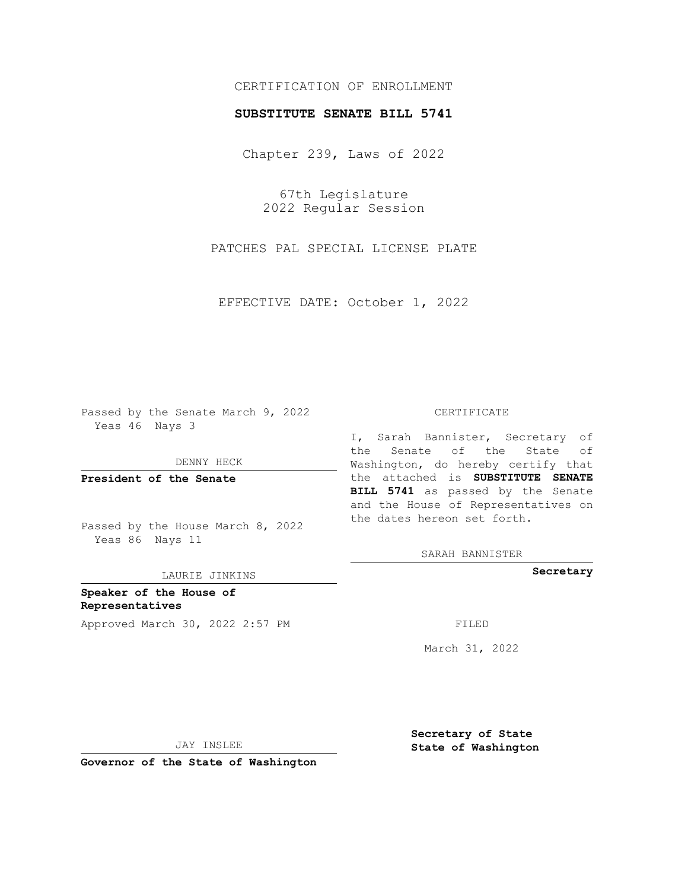## CERTIFICATION OF ENROLLMENT

## **SUBSTITUTE SENATE BILL 5741**

Chapter 239, Laws of 2022

67th Legislature 2022 Regular Session

PATCHES PAL SPECIAL LICENSE PLATE

EFFECTIVE DATE: October 1, 2022

Passed by the Senate March 9, 2022 Yeas 46 Nays 3

DENNY HECK

**President of the Senate**

Passed by the House March 8, 2022 Yeas 86 Nays 11

LAURIE JINKINS

**Speaker of the House of Representatives** Approved March 30, 2022 2:57 PM

#### CERTIFICATE

I, Sarah Bannister, Secretary of the Senate of the State of Washington, do hereby certify that the attached is **SUBSTITUTE SENATE BILL 5741** as passed by the Senate and the House of Representatives on the dates hereon set forth.

SARAH BANNISTER

**Secretary**

March 31, 2022

JAY INSLEE

**Governor of the State of Washington**

**Secretary of State State of Washington**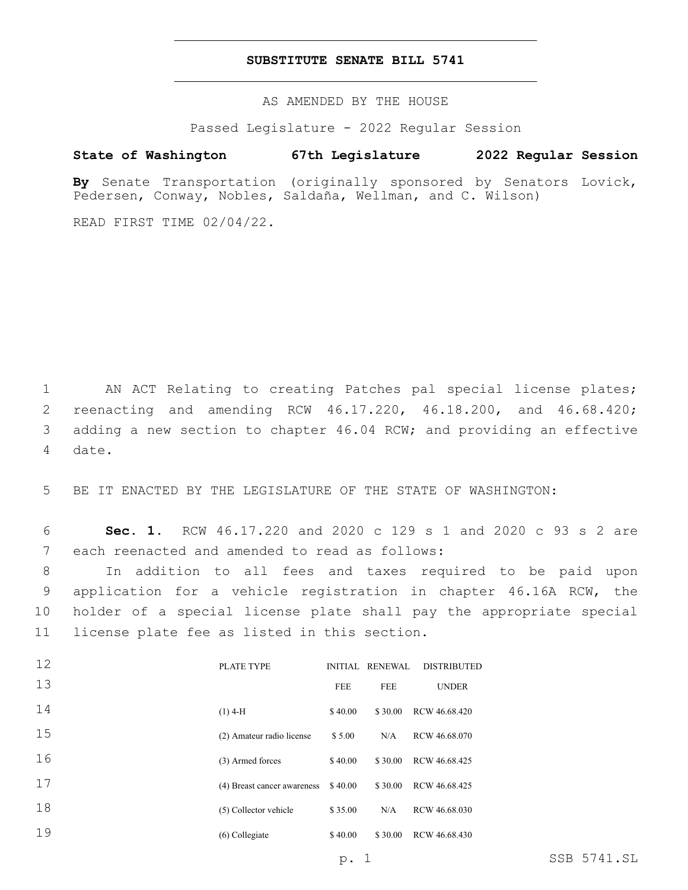### **SUBSTITUTE SENATE BILL 5741**

AS AMENDED BY THE HOUSE

Passed Legislature - 2022 Regular Session

# **State of Washington 67th Legislature 2022 Regular Session**

**By** Senate Transportation (originally sponsored by Senators Lovick, Pedersen, Conway, Nobles, Saldaña, Wellman, and C. Wilson)

READ FIRST TIME 02/04/22.

 $\overline{1}$ 

 AN ACT Relating to creating Patches pal special license plates; reenacting and amending RCW 46.17.220, 46.18.200, and 46.68.420; adding a new section to chapter 46.04 RCW; and providing an effective 4 date.

5 BE IT ENACTED BY THE LEGISLATURE OF THE STATE OF WASHINGTON:

6 **Sec. 1.** RCW 46.17.220 and 2020 c 129 s 1 and 2020 c 93 s 2 are 7 each reenacted and amended to read as follows:

 In addition to all fees and taxes required to be paid upon application for a vehicle registration in chapter 46.16A RCW, the holder of a special license plate shall pay the appropriate special 11 license plate fee as listed in this section.

| 12 | PLATE TYPE                  |            | INITIAL RENEWAL | <b>DISTRIBUTED</b> |
|----|-----------------------------|------------|-----------------|--------------------|
| 13 |                             | <b>FEE</b> | <b>FEE</b>      | <b>UNDER</b>       |
| 14 | $(1)$ 4-H                   | \$40.00    | \$30.00         | RCW 46.68.420      |
| 15 | (2) Amateur radio license   | \$5.00     | N/A             | RCW 46.68.070      |
| 16 | (3) Armed forces            | \$40.00    | \$30.00         | RCW 46.68.425      |
| 17 | (4) Breast cancer awareness | \$40.00    | \$30.00         | RCW 46.68.425      |
| 18 | (5) Collector vehicle       | \$35.00    | N/A             | RCW 46.68.030      |
| 19 | $(6)$ Collegiate            | \$40.00    | \$30.00         | RCW 46.68.430      |
|    |                             |            |                 |                    |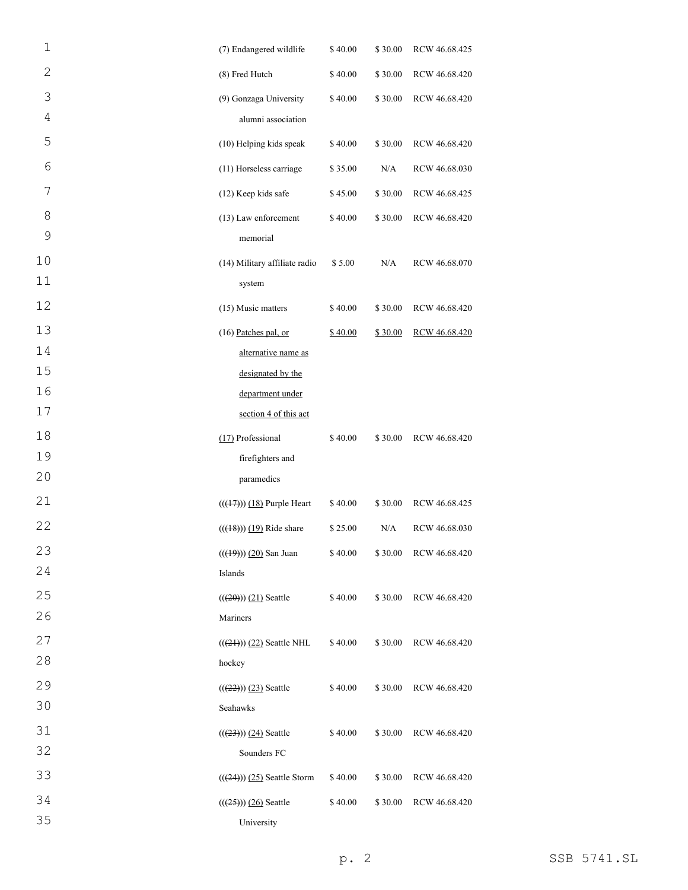| $\mathbf 1$  | (7) Endangered wildlife                            | \$40.00 | \$30.00 | RCW 46.68.425 |
|--------------|----------------------------------------------------|---------|---------|---------------|
| $\mathbf{2}$ | (8) Fred Hutch                                     | \$40.00 | \$30.00 | RCW 46.68.420 |
| 3            | (9) Gonzaga University                             | \$40.00 | \$30.00 | RCW 46.68.420 |
| 4            | alumni association                                 |         |         |               |
| 5            | (10) Helping kids speak                            | \$40.00 | \$30.00 | RCW 46.68.420 |
| 6            | (11) Horseless carriage                            | \$35.00 | N/A     | RCW 46.68.030 |
| 7            | (12) Keep kids safe                                | \$45.00 | \$30.00 | RCW 46.68.425 |
| 8            | (13) Law enforcement                               | \$40.00 | \$30.00 | RCW 46.68.420 |
| 9            | memorial                                           |         |         |               |
| 10           | (14) Military affiliate radio                      | \$5.00  | N/A     | RCW 46.68.070 |
| 11           | system                                             |         |         |               |
| 12           | (15) Music matters                                 | \$40.00 | \$30.00 | RCW 46.68.420 |
| 13           | (16) Patches pal, or                               | \$40.00 | \$30.00 | RCW 46.68.420 |
| 14           | alternative name as                                |         |         |               |
| 15           | designated by the                                  |         |         |               |
| 16           | department under                                   |         |         |               |
| 17           | section 4 of this act                              |         |         |               |
| 18           | (17) Professional                                  | \$40.00 | \$30.00 | RCW 46.68.420 |
| 19           | firefighters and                                   |         |         |               |
| 20           | paramedics                                         |         |         |               |
| 21           | $((\left(\frac{17}{7}\right))$ $(18)$ Purple Heart | \$40.00 | \$30.00 | RCW 46.68.425 |
| 22           | $(( (48)) ( 19)$ Ride share                        | \$25.00 | N/A     | RCW 46.68.030 |
| 23           | $((19)) (20)$ San Juan                             | \$40.00 | \$30.00 | RCW 46.68.420 |
| 24           | Islands                                            |         |         |               |
| 25           | $((20))$ (21) Seattle                              | \$40.00 | \$30.00 | RCW 46.68.420 |
| 26           | Mariners                                           |         |         |               |
| 27           | $((24))$ (22) Seattle NHL                          | \$40.00 | \$30.00 | RCW 46.68.420 |
| 28           | hockey                                             |         |         |               |
| 29           | $((22)) (23)$ Seattle                              | \$40.00 | \$30.00 | RCW 46.68.420 |
| 30           | Seahawks                                           |         |         |               |
| 31           | $((23)) (24)$ Seattle                              | \$40.00 | \$30.00 | RCW 46.68.420 |
| 32           | Sounders FC                                        |         |         |               |
| 33           | $(((24)))(25)$ Seattle Storm                       | \$40.00 | \$30.00 | RCW 46.68.420 |
| 34           | $((25)) (26)$ Seattle                              | \$40.00 | \$30.00 | RCW 46.68.420 |
| 35           | University                                         |         |         |               |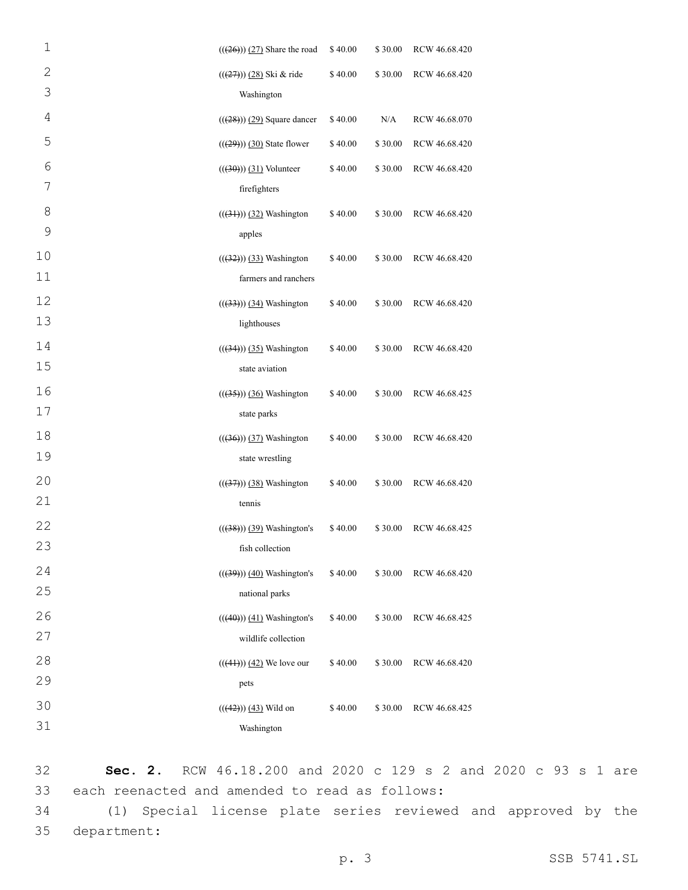| $\mathbf 1$ | $(((26))$ $(27)$ Share the road | \$40.00 | \$30.00 | RCW 46.68.420 |
|-------------|---------------------------------|---------|---------|---------------|
| $\mathbf 2$ | $((27)) (28)$ Ski & ride        | \$40.00 | \$30.00 | RCW 46.68.420 |
| 3           | Washington                      |         |         |               |
| 4           | $(((28)))(29)$ Square dancer    | \$40.00 | N/A     | RCW 46.68.070 |
| 5           | $(((29))$ $(30)$ State flower   | \$40.00 | \$30.00 | RCW 46.68.420 |
| 6           | $((30))$ $(31)$ Volunteer       | \$40.00 | \$30.00 | RCW 46.68.420 |
| 7           | firefighters                    |         |         |               |
| 8           | $(((31))$ $(32)$ Washington     | \$40.00 | \$30.00 | RCW 46.68.420 |
| 9           | apples                          |         |         |               |
| 10          | $(((32))$ $(33)$ Washington     | \$40.00 | \$30.00 | RCW 46.68.420 |
| 11          | farmers and ranchers            |         |         |               |
| 12          | $(((33))$ $(34)$ Washington     | \$40.00 | \$30.00 | RCW 46.68.420 |
| 13          | lighthouses                     |         |         |               |
| 14          | $((34))$ $(35)$ Washington      | \$40.00 | \$30.00 | RCW 46.68.420 |
| 15          | state aviation                  |         |         |               |
| 16          | $(((35))$ $(36)$ Washington     | \$40.00 | \$30.00 | RCW 46.68.425 |
| 17          | state parks                     |         |         |               |
| 18          | $(((36))$ $(37)$ Washington     | \$40.00 | \$30.00 | RCW 46.68.420 |
| 19          | state wrestling                 |         |         |               |
| 20          | $(((37))$ $(38)$ Washington     | \$40.00 | \$30.00 | RCW 46.68.420 |
| 21          | tennis                          |         |         |               |
| 22          | $((38))$ $(39)$ Washington's    | \$40.00 | \$30.00 | RCW 46.68.425 |
| 23          | fish collection                 |         |         |               |
| 24          | $((39)) (40)$ Washington's      | \$40.00 | \$30.00 | RCW 46.68.420 |
| 25          | national parks                  |         |         |               |
| 26          | $(((40))$ $(41)$ Washington's   | \$40.00 | \$30.00 | RCW 46.68.425 |
| 27          | wildlife collection             |         |         |               |
| 28          | $(((41)))(42)$ We love our      | \$40.00 | \$30.00 | RCW 46.68.420 |
| 29          | pets                            |         |         |               |
| 30          | $(((42)))(43)$ Wild on          | \$40.00 | \$30.00 | RCW 46.68.425 |
| 31          | Washington                      |         |         |               |

32 **Sec. 2.** RCW 46.18.200 and 2020 c 129 s 2 and 2020 c 93 s 1 are 33 each reenacted and amended to read as follows:

34 (1) Special license plate series reviewed and approved by the 35 department: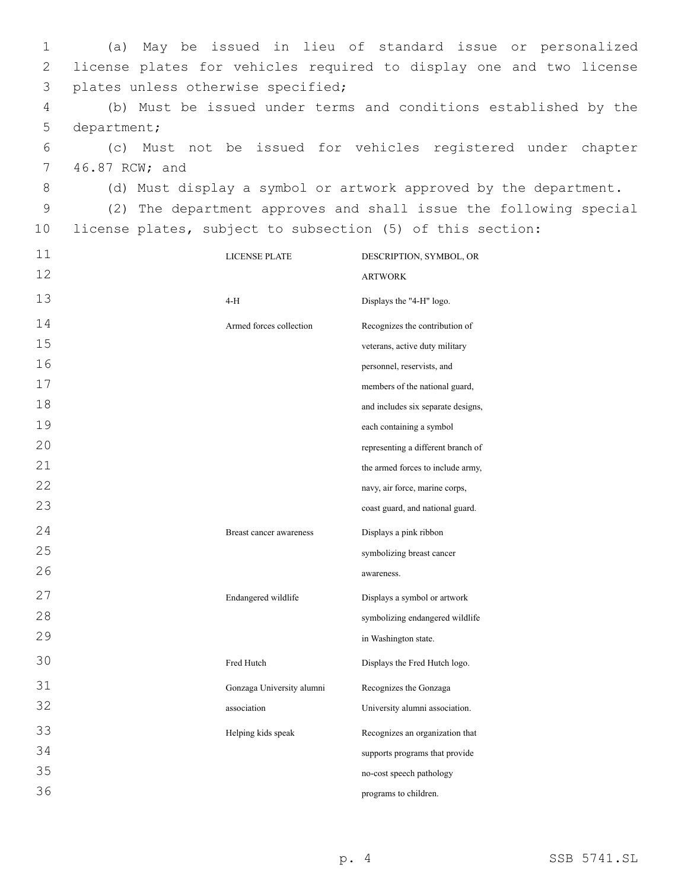1 (a) May be issued in lieu of standard issue or personalized 2 license plates for vehicles required to display one and two license 3 plates unless otherwise specified; 4 (b) Must be issued under terms and conditions established by the 5 department; 6 (c) Must not be issued for vehicles registered under chapter 7 46.87 RCW; and 8 (d) Must display a symbol or artwork approved by the department. 9 (2) The department approves and shall issue the following special 10 license plates, subject to subsection (5) of this section: 11 12 LICENSE PLATE DESCRIPTION, SYMBOL, OR ARTWORK 13 4-H Displays the "4-H" logo. 14 15 16 17 18 19 20 21 22 23 Armed forces collection Recognizes the contribution of veterans, active duty military personnel, reservists, and members of the national guard, and includes six separate designs, each containing a symbol representing a different branch of the armed forces to include army, navy, air force, marine corps, coast guard, and national guard. 24 25 26 Breast cancer awareness Displays a pink ribbon symbolizing breast cancer awareness. 27 28 29 Endangered wildlife Displays a symbol or artwork symbolizing endangered wildlife in Washington state. 30 Fred Hutch Displays the Fred Hutch logo. 31 32 Gonzaga University alumni association Recognizes the Gonzaga University alumni association. 33 34 35 36 Helping kids speak Recognizes an organization that supports programs that provide no-cost speech pathology programs to children.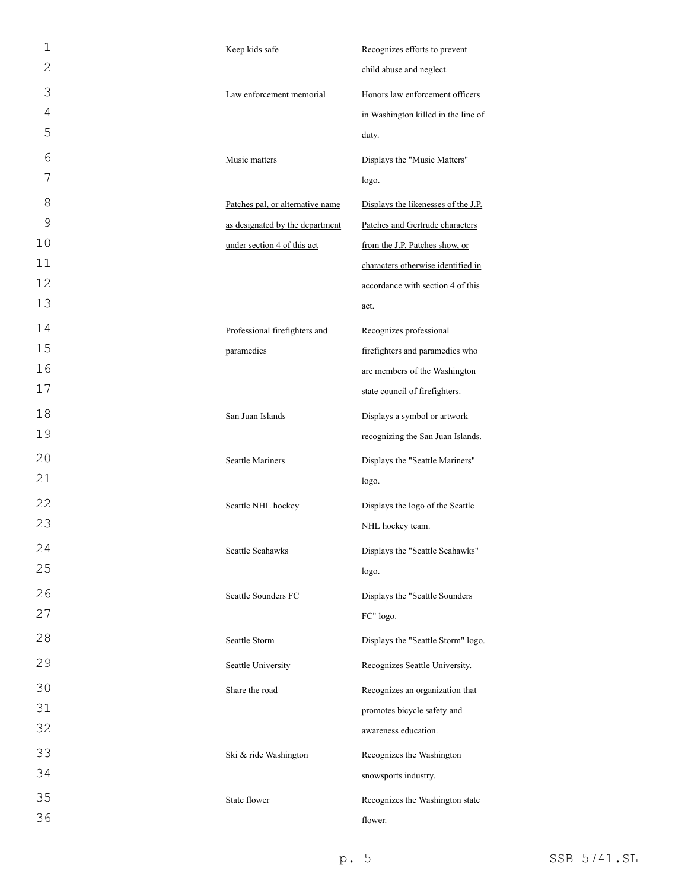| 1  | Keep kids safe                   | Recognizes efforts to prevent       |
|----|----------------------------------|-------------------------------------|
| 2  |                                  | child abuse and neglect.            |
| 3  | Law enforcement memorial         | Honors law enforcement officers     |
| 4  |                                  | in Washington killed in the line of |
| 5  |                                  | duty.                               |
| 6  | Music matters                    | Displays the "Music Matters"        |
| 7  |                                  | logo.                               |
| 8  | Patches pal, or alternative name | Displays the likenesses of the J.P. |
| 9  | as designated by the department  | Patches and Gertrude characters     |
| 10 | under section 4 of this act      | from the J.P. Patches show, or      |
| 11 |                                  | characters otherwise identified in  |
| 12 |                                  | accordance with section 4 of this   |
| 13 |                                  | <u>act.</u>                         |
| 14 | Professional firefighters and    | Recognizes professional             |
| 15 | paramedics                       | firefighters and paramedics who     |
| 16 |                                  | are members of the Washington       |
| 17 |                                  | state council of firefighters.      |
| 18 | San Juan Islands                 | Displays a symbol or artwork        |
| 19 |                                  | recognizing the San Juan Islands.   |
| 20 | <b>Seattle Mariners</b>          | Displays the "Seattle Mariners"     |
| 21 |                                  | logo.                               |
| 22 | Seattle NHL hockey               | Displays the logo of the Seattle    |
| 23 |                                  | NHL hockey team.                    |
| 24 | Seattle Seahawks                 | Displays the "Seattle Seahawks"     |
| 25 |                                  | logo.                               |
| 26 | Seattle Sounders FC              | Displays the "Seattle Sounders      |
| 27 |                                  | FC" logo.                           |
| 28 | Seattle Storm                    | Displays the "Seattle Storm" logo.  |
| 29 | Seattle University               | Recognizes Seattle University.      |
| 30 | Share the road                   | Recognizes an organization that     |
| 31 |                                  | promotes bicycle safety and         |
| 32 |                                  | awareness education.                |
| 33 | Ski & ride Washington            | Recognizes the Washington           |
| 34 |                                  | snowsports industry.                |
| 35 | State flower                     | Recognizes the Washington state     |
| 36 |                                  | flower.                             |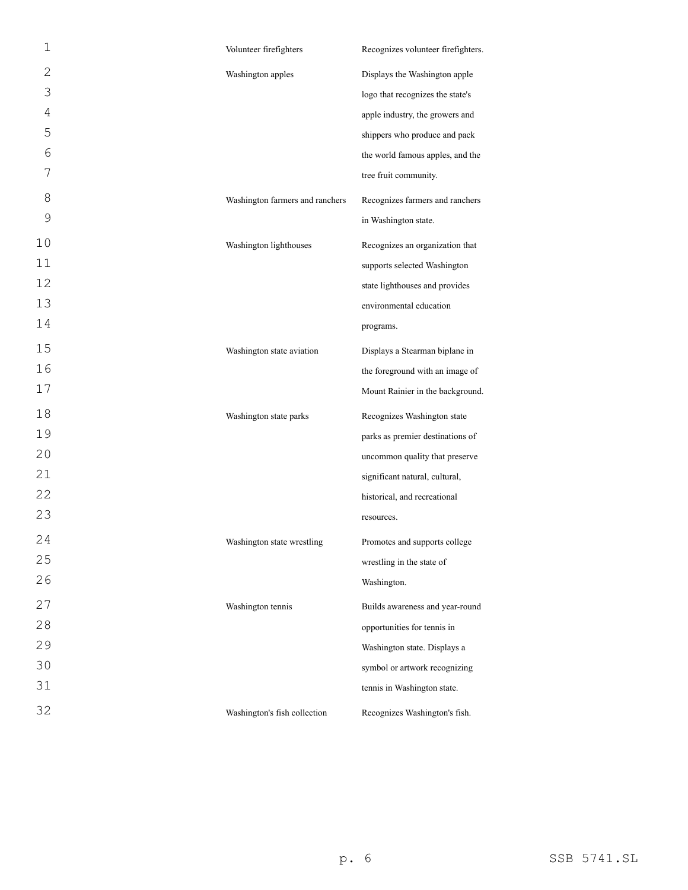| 1              | Volunteer firefighters          | Recognizes volunteer firefighters. |
|----------------|---------------------------------|------------------------------------|
| 2              | Washington apples               | Displays the Washington apple      |
| 3              |                                 | logo that recognizes the state's   |
| $\overline{4}$ |                                 | apple industry, the growers and    |
| 5              |                                 | shippers who produce and pack      |
| 6              |                                 | the world famous apples, and the   |
| 7              |                                 | tree fruit community.              |
| 8              | Washington farmers and ranchers | Recognizes farmers and ranchers    |
| 9              |                                 | in Washington state.               |
| 10             | Washington lighthouses          | Recognizes an organization that    |
| 11             |                                 | supports selected Washington       |
| 12             |                                 | state lighthouses and provides     |
| 13             |                                 | environmental education            |
| 14             |                                 | programs.                          |
| 15             | Washington state aviation       | Displays a Stearman biplane in     |
| 16             |                                 | the foreground with an image of    |
| 17             |                                 | Mount Rainier in the background.   |
| 18             | Washington state parks          | Recognizes Washington state        |
| 19             |                                 | parks as premier destinations of   |
| 20             |                                 | uncommon quality that preserve     |
| 21             |                                 | significant natural, cultural,     |
| 22             |                                 | historical, and recreational       |
| 23             |                                 | resources.                         |
| 24             | Washington state wrestling      | Promotes and supports college      |
| 25             |                                 | wrestling in the state of          |
| 26             |                                 | Washington.                        |
| 27             | Washington tennis               | Builds awareness and year-round    |
| 28             |                                 | opportunities for tennis in        |
| 29             |                                 | Washington state. Displays a       |
| 30             |                                 | symbol or artwork recognizing      |
| 31             |                                 | tennis in Washington state.        |
| 32             | Washington's fish collection    | Recognizes Washington's fish.      |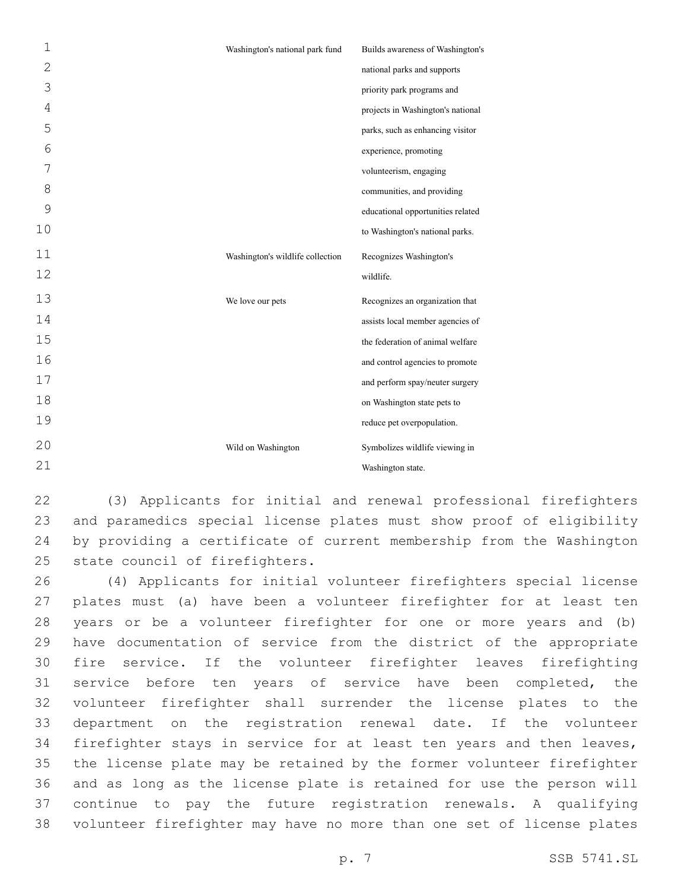| $\mathbf 1$  | Washington's national park fund  | Builds awareness of Washington's  |
|--------------|----------------------------------|-----------------------------------|
| $\mathbf{2}$ |                                  | national parks and supports       |
| 3            |                                  | priority park programs and        |
| 4            |                                  | projects in Washington's national |
| 5            |                                  | parks, such as enhancing visitor  |
| 6            |                                  | experience, promoting             |
| 7            |                                  | volunteerism, engaging            |
| 8            |                                  | communities, and providing        |
| 9            |                                  | educational opportunities related |
| 10           |                                  | to Washington's national parks.   |
| 11           | Washington's wildlife collection | Recognizes Washington's           |
| 12           |                                  | wildlife.                         |
| 13           | We love our pets                 | Recognizes an organization that   |
| 14           |                                  | assists local member agencies of  |
| 15           |                                  | the federation of animal welfare  |
| 16           |                                  | and control agencies to promote   |
| 17           |                                  | and perform spay/neuter surgery   |
| 18           |                                  | on Washington state pets to       |
| 19           |                                  | reduce pet overpopulation.        |
| 20           | Wild on Washington               | Symbolizes wildlife viewing in    |
| 21           |                                  | Washington state.                 |

 (3) Applicants for initial and renewal professional firefighters and paramedics special license plates must show proof of eligibility by providing a certificate of current membership from the Washington 25 state council of firefighters.

 (4) Applicants for initial volunteer firefighters special license plates must (a) have been a volunteer firefighter for at least ten years or be a volunteer firefighter for one or more years and (b) have documentation of service from the district of the appropriate fire service. If the volunteer firefighter leaves firefighting 31 service before ten years of service have been completed, the volunteer firefighter shall surrender the license plates to the department on the registration renewal date. If the volunteer firefighter stays in service for at least ten years and then leaves, the license plate may be retained by the former volunteer firefighter and as long as the license plate is retained for use the person will continue to pay the future registration renewals. A qualifying volunteer firefighter may have no more than one set of license plates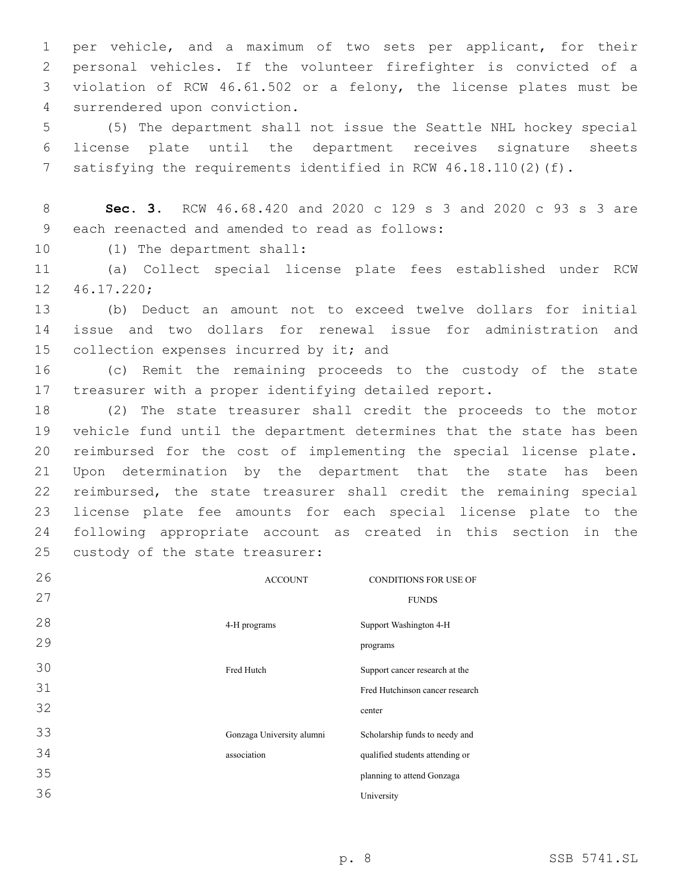per vehicle, and a maximum of two sets per applicant, for their personal vehicles. If the volunteer firefighter is convicted of a violation of RCW 46.61.502 or a felony, the license plates must be 4 surrendered upon conviction.

5 (5) The department shall not issue the Seattle NHL hockey special 6 license plate until the department receives signature sheets 7 satisfying the requirements identified in RCW 46.18.110(2)(f).

8 **Sec. 3.** RCW 46.68.420 and 2020 c 129 s 3 and 2020 c 93 s 3 are 9 each reenacted and amended to read as follows:

10 (1) The department shall:

11 (a) Collect special license plate fees established under RCW 46.17.220;12

13 (b) Deduct an amount not to exceed twelve dollars for initial 14 issue and two dollars for renewal issue for administration and 15 collection expenses incurred by it; and

16 (c) Remit the remaining proceeds to the custody of the state 17 treasurer with a proper identifying detailed report.

 (2) The state treasurer shall credit the proceeds to the motor vehicle fund until the department determines that the state has been reimbursed for the cost of implementing the special license plate. Upon determination by the department that the state has been reimbursed, the state treasurer shall credit the remaining special license plate fee amounts for each special license plate to the following appropriate account as created in this section in the 25 custody of the state treasurer:

| 26 | <b>ACCOUNT</b>            | <b>CONDITIONS FOR USE OF</b>    |
|----|---------------------------|---------------------------------|
| 27 |                           | <b>FUNDS</b>                    |
| 28 | 4-H programs              | Support Washington 4-H          |
| 29 |                           | programs                        |
| 30 | Fred Hutch                | Support cancer research at the  |
| 31 |                           | Fred Hutchinson cancer research |
| 32 |                           | center                          |
| 33 | Gonzaga University alumni | Scholarship funds to needy and  |
| 34 | association               | qualified students attending or |
| 35 |                           | planning to attend Gonzaga      |
| 36 |                           | University                      |
|    |                           |                                 |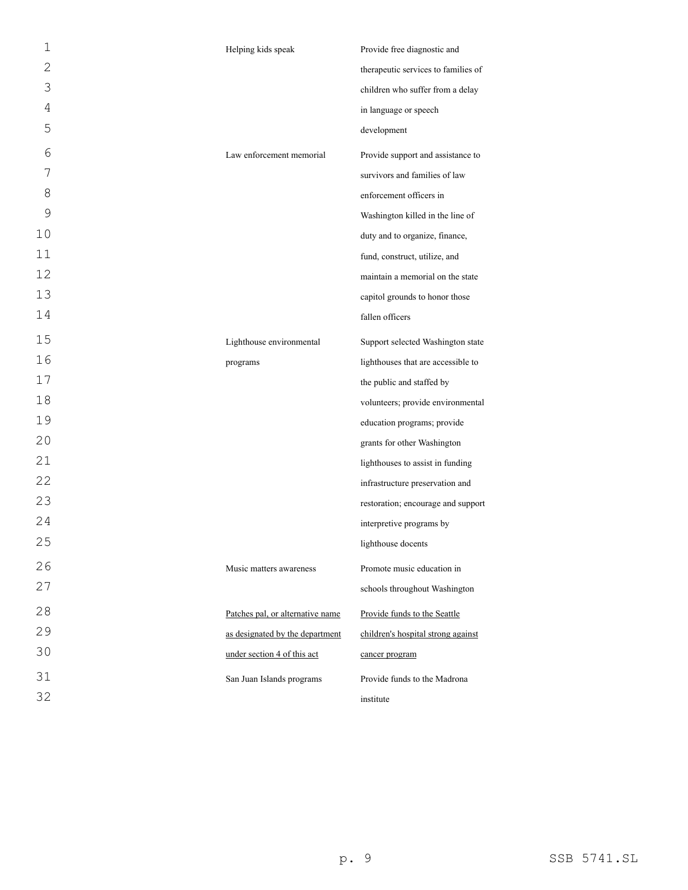| $\mathbf 1$  | Helping kids speak               | Provide free diagnostic and         |
|--------------|----------------------------------|-------------------------------------|
| $\mathbf{2}$ |                                  | therapeutic services to families of |
| 3            |                                  | children who suffer from a delay    |
| 4            |                                  | in language or speech               |
| 5            |                                  | development                         |
| 6            | Law enforcement memorial         | Provide support and assistance to   |
| 7            |                                  | survivors and families of law       |
| 8            |                                  | enforcement officers in             |
| 9            |                                  | Washington killed in the line of    |
| 10           |                                  | duty and to organize, finance,      |
| 11           |                                  | fund, construct, utilize, and       |
| 12           |                                  | maintain a memorial on the state    |
| 13           |                                  | capitol grounds to honor those      |
| 14           |                                  | fallen officers                     |
| 15           | Lighthouse environmental         | Support selected Washington state   |
| 16           | programs                         | lighthouses that are accessible to  |
| $17$         |                                  | the public and staffed by           |
| 18           |                                  | volunteers; provide environmental   |
| 19           |                                  | education programs; provide         |
| 20           |                                  | grants for other Washington         |
| 21           |                                  | lighthouses to assist in funding    |
| 22           |                                  | infrastructure preservation and     |
| 23           |                                  | restoration; encourage and support  |
| 24           |                                  | interpretive programs by            |
| 25           |                                  | lighthouse docents                  |
| 26           | Music matters awareness          | Promote music education in          |
| 27           |                                  | schools throughout Washington       |
| 28           | Patches pal, or alternative name | Provide funds to the Seattle        |
| 29           | as designated by the department  | children's hospital strong against  |
| 30           | under section 4 of this act      | cancer program                      |
| 31           | San Juan Islands programs        | Provide funds to the Madrona        |
| 32           |                                  | institute                           |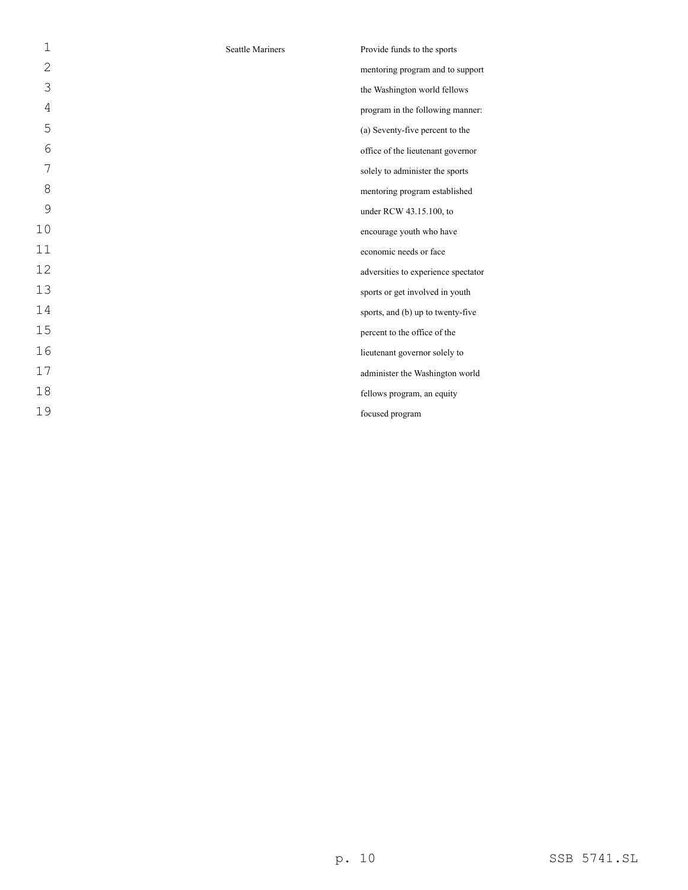| 1  | <b>Seattle Mariners</b> | Provide funds to the sports         |
|----|-------------------------|-------------------------------------|
| 2  |                         | mentoring program and to support    |
| 3  |                         | the Washington world fellows        |
| 4  |                         | program in the following manner:    |
| 5  |                         | (a) Seventy-five percent to the     |
| 6  |                         | office of the lieutenant governor   |
| 7  |                         | solely to administer the sports     |
| 8  |                         | mentoring program established       |
| 9  |                         | under RCW 43.15.100, to             |
| 10 |                         | encourage youth who have            |
| 11 |                         | economic needs or face              |
| 12 |                         | adversities to experience spectator |
| 13 |                         | sports or get involved in youth     |
| 14 |                         | sports, and (b) up to twenty-five   |
| 15 |                         | percent to the office of the        |
| 16 |                         | lieutenant governor solely to       |
| 17 |                         | administer the Washington world     |
| 18 |                         | fellows program, an equity          |
| 19 |                         | focused program                     |
|    |                         |                                     |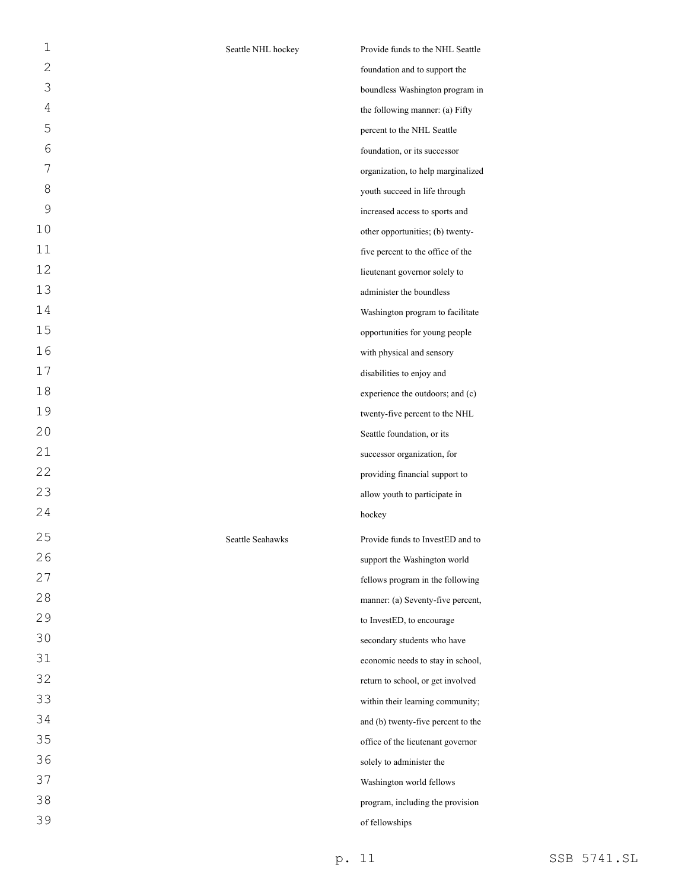| 1              | Seattle NHL hockey | Provide funds to the NHL Seattle   |
|----------------|--------------------|------------------------------------|
| $\overline{2}$ |                    | foundation and to support the      |
| 3              |                    | boundless Washington program in    |
| $\overline{4}$ |                    | the following manner: (a) Fifty    |
| 5              |                    | percent to the NHL Seattle         |
| 6              |                    | foundation, or its successor       |
| 7              |                    | organization, to help marginalized |
| 8              |                    | youth succeed in life through      |
| $\mathsf{O}$   |                    | increased access to sports and     |
| 10             |                    | other opportunities; (b) twenty-   |
| 11             |                    | five percent to the office of the  |
| 12             |                    | lieutenant governor solely to      |
| 13             |                    | administer the boundless           |
| 14             |                    | Washington program to facilitate   |
| 15             |                    | opportunities for young people     |
| 16             |                    | with physical and sensory          |
| 17             |                    | disabilities to enjoy and          |
| 18             |                    | experience the outdoors; and (c)   |
| 19             |                    | twenty-five percent to the NHL     |
| 20             |                    | Seattle foundation, or its         |
| 21             |                    | successor organization, for        |
| 22             |                    | providing financial support to     |
| 23             |                    | allow youth to participate in      |
| 24             |                    | hockey                             |
| 25             | Seattle Seahawks   | Provide funds to InvestED and to   |
| 26             |                    | support the Washington world       |
| 27             |                    | fellows program in the following   |
| 28             |                    | manner: (a) Seventy-five percent,  |
| 29             |                    | to InvestED, to encourage          |
| 30             |                    | secondary students who have        |
| 31             |                    | economic needs to stay in school,  |
| 32             |                    | return to school, or get involved  |
| 33             |                    | within their learning community;   |
| 34             |                    | and (b) twenty-five percent to the |
| 35             |                    | office of the lieutenant governor  |
| 36             |                    | solely to administer the           |
| 37             |                    | Washington world fellows           |
| 38             |                    | program, including the provision   |
| 39             |                    | of fellowships                     |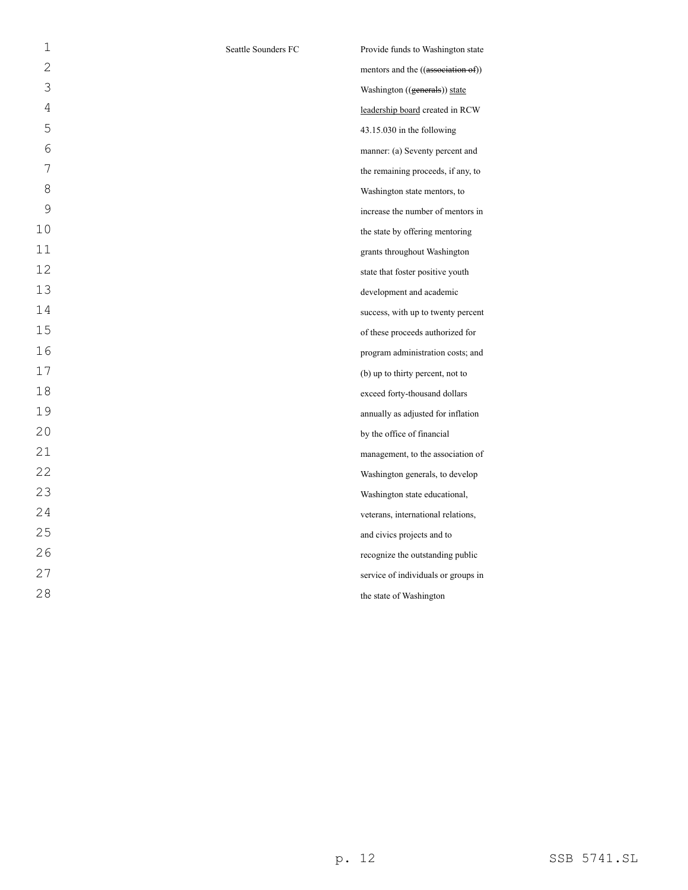| $\mathbf 1$  | Seattle Sounders FC | Provide funds to Washington state   |
|--------------|---------------------|-------------------------------------|
| $\mathbf{2}$ |                     | mentors and the ((association of))  |
| 3            |                     | Washington ((generals)) state       |
| 4            |                     | leadership board created in RCW     |
| 5            |                     | $43.15.030$ in the following        |
| 6            |                     | manner: (a) Seventy percent and     |
| 7            |                     | the remaining proceeds, if any, to  |
| 8            |                     | Washington state mentors, to        |
| 9            |                     | increase the number of mentors in   |
| 10           |                     | the state by offering mentoring     |
| 11           |                     | grants throughout Washington        |
| 12           |                     | state that foster positive youth    |
| 13           |                     | development and academic            |
| 14           |                     | success, with up to twenty percent  |
| 15           |                     | of these proceeds authorized for    |
| 16           |                     | program administration costs; and   |
| 17           |                     | (b) up to thirty percent, not to    |
| 18           |                     | exceed forty-thousand dollars       |
| 19           |                     | annually as adjusted for inflation  |
| 20           |                     | by the office of financial          |
| 21           |                     | management, to the association of   |
| 22           |                     | Washington generals, to develop     |
| 23           |                     | Washington state educational,       |
| 24           |                     | veterans, international relations,  |
| 25           |                     | and civics projects and to          |
| 26           |                     | recognize the outstanding public    |
| 27           |                     | service of individuals or groups in |
| 28           |                     | the state of Washington             |
|              |                     |                                     |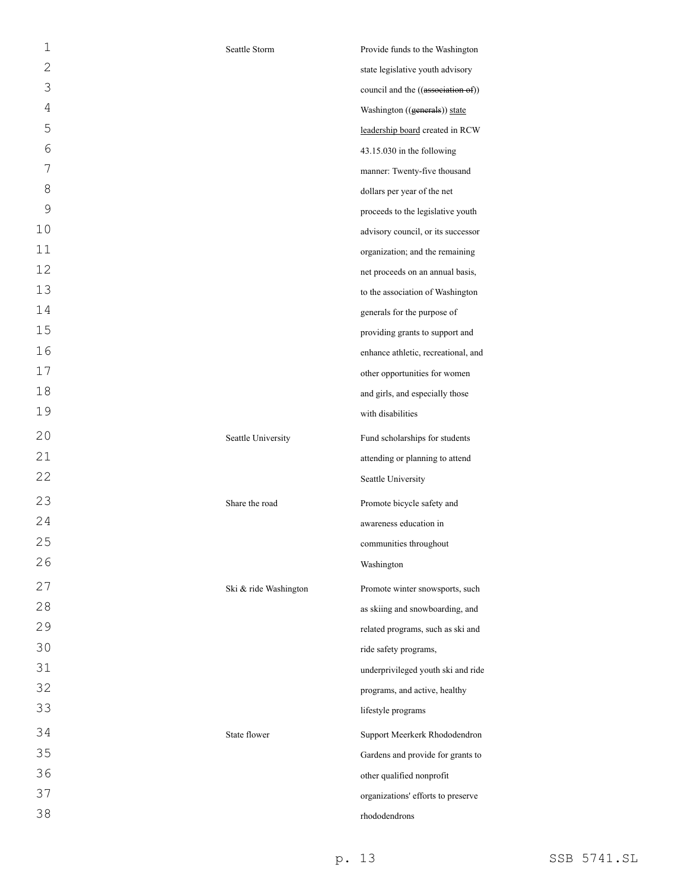| 1              | Seattle Storm         | Provide funds to the Washington     |
|----------------|-----------------------|-------------------------------------|
| $\mathbf{2}$   |                       | state legislative youth advisory    |
| 3              |                       | council and the ((association of))  |
| $\overline{4}$ |                       | Washington ((generals)) state       |
| 5              |                       | leadership board created in RCW     |
| 6              |                       | 43.15.030 in the following          |
| 7              |                       | manner: Twenty-five thousand        |
| 8              |                       | dollars per year of the net         |
| 9              |                       | proceeds to the legislative youth   |
| 10             |                       | advisory council, or its successor  |
| 11             |                       | organization; and the remaining     |
| 12             |                       | net proceeds on an annual basis,    |
| 13             |                       | to the association of Washington    |
| 14             |                       | generals for the purpose of         |
| 15             |                       | providing grants to support and     |
| 16             |                       | enhance athletic, recreational, and |
| 17             |                       | other opportunities for women       |
| 18             |                       | and girls, and especially those     |
| 19             |                       | with disabilities                   |
| 20             | Seattle University    | Fund scholarships for students      |
| 21             |                       | attending or planning to attend     |
| 22             |                       | Seattle University                  |
| 23             | Share the road        | Promote bicycle safety and          |
| 24             |                       | awareness education in              |
| 25             |                       | communities throughout              |
| 26             |                       | Washington                          |
| 27             | Ski & ride Washington | Promote winter snowsports, such     |
| 28             |                       | as skiing and snowboarding, and     |
| 29             |                       | related programs, such as ski and   |
| 30             |                       | ride safety programs,               |
| 31             |                       | underprivileged youth ski and ride  |
| 32             |                       | programs, and active, healthy       |
| 33             |                       | lifestyle programs                  |
| 34             | State flower          | Support Meerkerk Rhododendron       |
| 35             |                       | Gardens and provide for grants to   |
| 36             |                       | other qualified nonprofit           |
| 37             |                       | organizations' efforts to preserve  |
| 38             |                       | rhododendrons                       |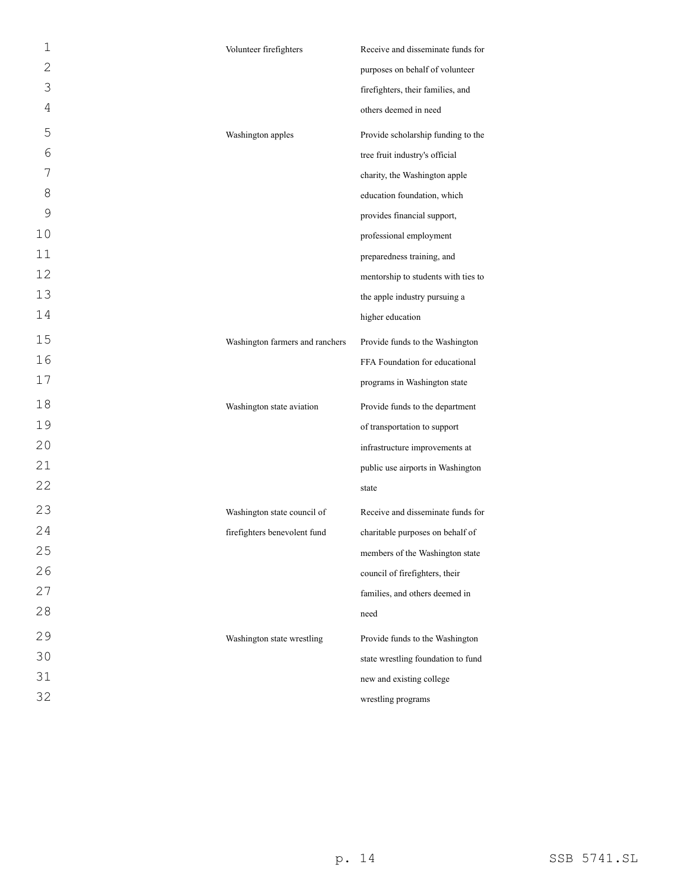| 1  | Volunteer firefighters          | Receive and disseminate funds for   |
|----|---------------------------------|-------------------------------------|
| 2  |                                 | purposes on behalf of volunteer     |
| 3  |                                 | firefighters, their families, and   |
| 4  |                                 | others deemed in need               |
| 5  | Washington apples               | Provide scholarship funding to the  |
| 6  |                                 | tree fruit industry's official      |
| 7  |                                 | charity, the Washington apple       |
| 8  |                                 | education foundation, which         |
| 9  |                                 | provides financial support,         |
| 10 |                                 | professional employment             |
| 11 |                                 | preparedness training, and          |
| 12 |                                 | mentorship to students with ties to |
| 13 |                                 | the apple industry pursuing a       |
| 14 |                                 | higher education                    |
| 15 | Washington farmers and ranchers | Provide funds to the Washington     |
| 16 |                                 | FFA Foundation for educational      |
| 17 |                                 | programs in Washington state        |
| 18 | Washington state aviation       | Provide funds to the department     |
| 19 |                                 | of transportation to support        |
| 20 |                                 | infrastructure improvements at      |
| 21 |                                 | public use airports in Washington   |
| 22 |                                 | state                               |
| 23 | Washington state council of     | Receive and disseminate funds for   |
| 24 | firefighters benevolent fund    | charitable purposes on behalf of    |
| 25 |                                 | members of the Washington state     |
| 26 |                                 | council of firefighters, their      |
| 27 |                                 | families, and others deemed in      |
| 28 |                                 | need                                |
| 29 | Washington state wrestling      | Provide funds to the Washington     |
| 30 |                                 | state wrestling foundation to fund  |
| 31 |                                 | new and existing college            |
| 32 |                                 | wrestling programs                  |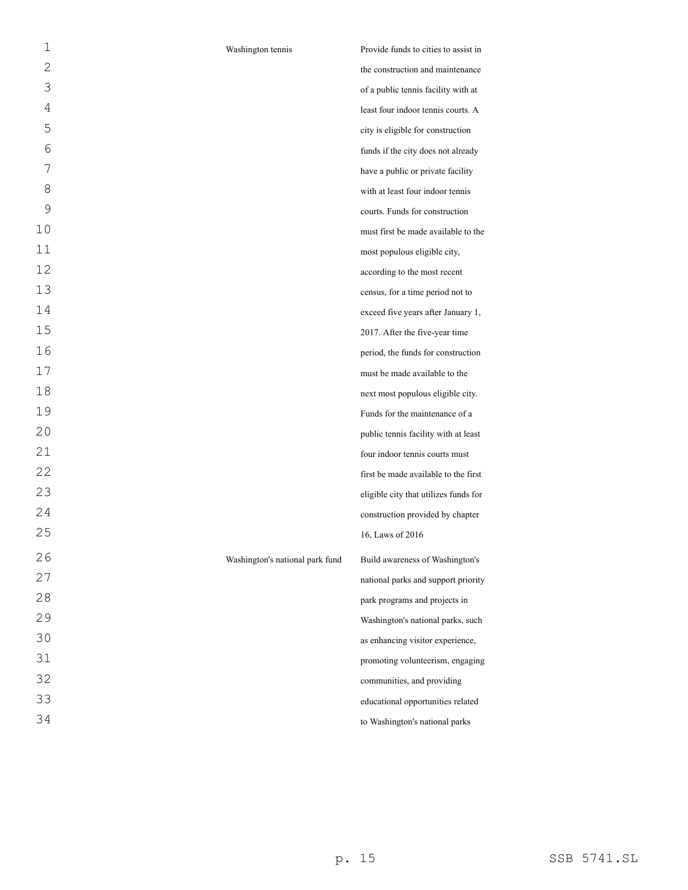| 1  | Washington tennis               | Provide funds to cities to assist in  |
|----|---------------------------------|---------------------------------------|
| 2  |                                 | the construction and maintenance      |
| 3  |                                 | of a public tennis facility with at   |
| 4  |                                 | least four indoor tennis courts. A    |
| 5  |                                 | city is eligible for construction     |
| 6  |                                 | funds if the city does not already    |
| 7  |                                 | have a public or private facility     |
| 8  |                                 | with at least four indoor tennis      |
| 9  |                                 | courts. Funds for construction        |
| 10 |                                 | must first be made available to the   |
| 11 |                                 | most populous eligible city,          |
| 12 |                                 | according to the most recent          |
| 13 |                                 | census, for a time period not to      |
| 14 |                                 | exceed five years after January 1,    |
| 15 |                                 | 2017. After the five-year time        |
| 16 |                                 | period, the funds for construction    |
| 17 |                                 | must be made available to the         |
| 18 |                                 | next most populous eligible city.     |
| 19 |                                 | Funds for the maintenance of a        |
| 20 |                                 | public tennis facility with at least  |
| 21 |                                 | four indoor tennis courts must        |
| 22 |                                 | first be made available to the first  |
| 23 |                                 | eligible city that utilizes funds for |
| 24 |                                 | construction provided by chapter      |
| 25 |                                 | 16, Laws of 2016                      |
| 26 | Washington's national park fund | Build awareness of Washington's       |
| 27 |                                 | national parks and support priority   |
| 28 |                                 | park programs and projects in         |
| 29 |                                 | Washington's national parks, such     |
| 30 |                                 | as enhancing visitor experience,      |
| 31 |                                 | promoting volunteerism, engaging      |
| 32 |                                 | communities, and providing            |
| 33 |                                 | educational opportunities related     |
| 34 |                                 | to Washington's national parks        |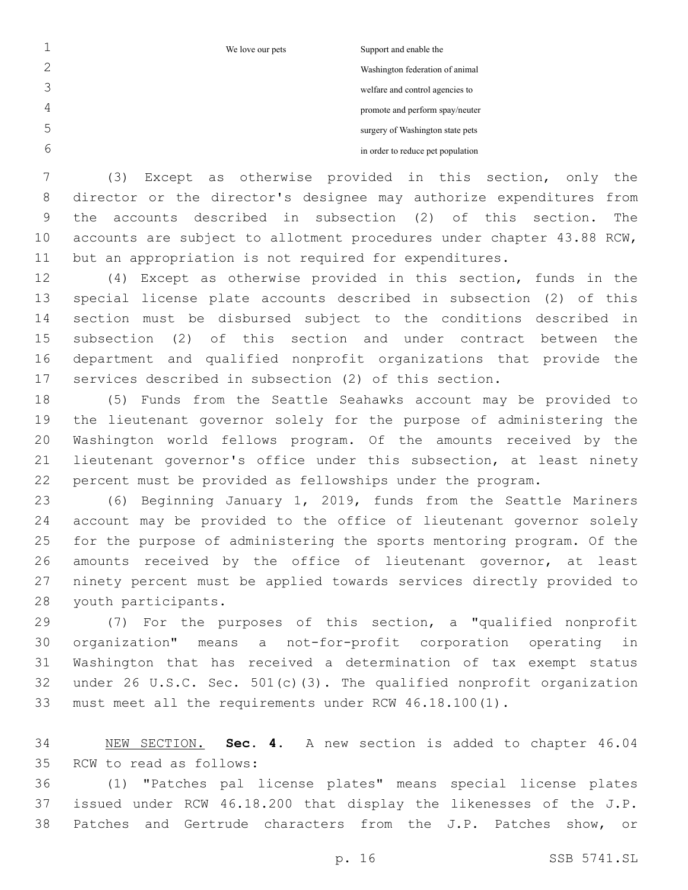We love our pets Support and enable the

Washington federation of animal welfare and control agencies to

promote and perform spay/neuter

surgery of Washington state pets

in order to reduce pet population

 (3) Except as otherwise provided in this section, only the director or the director's designee may authorize expenditures from the accounts described in subsection (2) of this section. The accounts are subject to allotment procedures under chapter 43.88 RCW, but an appropriation is not required for expenditures.

 (4) Except as otherwise provided in this section, funds in the special license plate accounts described in subsection (2) of this section must be disbursed subject to the conditions described in subsection (2) of this section and under contract between the department and qualified nonprofit organizations that provide the services described in subsection (2) of this section.

 (5) Funds from the Seattle Seahawks account may be provided to the lieutenant governor solely for the purpose of administering the Washington world fellows program. Of the amounts received by the lieutenant governor's office under this subsection, at least ninety percent must be provided as fellowships under the program.

 (6) Beginning January 1, 2019, funds from the Seattle Mariners account may be provided to the office of lieutenant governor solely for the purpose of administering the sports mentoring program. Of the amounts received by the office of lieutenant governor, at least ninety percent must be applied towards services directly provided to 28 youth participants.

 (7) For the purposes of this section, a "qualified nonprofit organization" means a not-for-profit corporation operating in Washington that has received a determination of tax exempt status under 26 U.S.C. Sec. 501(c)(3). The qualified nonprofit organization must meet all the requirements under RCW 46.18.100(1).

 NEW SECTION. **Sec. 4.** A new section is added to chapter 46.04 35 RCW to read as follows:

 (1) "Patches pal license plates" means special license plates issued under RCW 46.18.200 that display the likenesses of the J.P. Patches and Gertrude characters from the J.P. Patches show, or